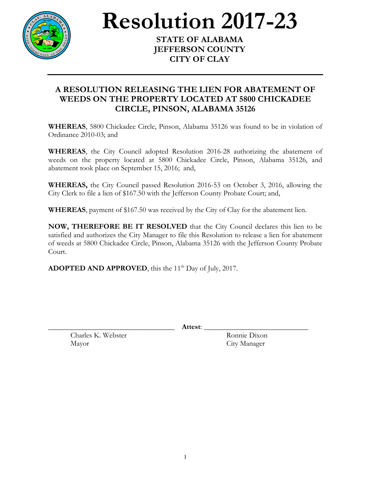

**Resolution** 2017-23

**JEFFERSON COUNTY CITY OF CLAY**

## **A RESOLUTION RELEASING THE LIEN FOR ABATEMENT OF WEEDS ON THE PROPERTY LOCATED AT 5800 CHICKADEE CIRCLE, PINSON, ALABAMA 35126**

**WHEREAS**, 5800 Chickadee Circle, Pinson, Alabama 35126 was found to be in violation of Ordinance 2010-03; and

**WHEREAS**, the City Council adopted Resolution 2016-28 authorizing the abatement of weeds on the property located at 5800 Chickadee Circle, Pinson, Alabama 35126, and abatement took place on September 15, 2016; and,

**WHEREAS,** the City Council passed Resolution 2016-53 on October 3, 2016, allowing the City Clerk to file a lien of \$167.50 with the Jefferson County Probate Court; and,

**WHEREAS**, payment of \$167.50 was received by the City of Clay for the abatement lien.

**NOW, THEREFORE BE IT RESOLVED** that the City Council declares this lien to be satisfied and authorizes the City Manager to file this Resolution to release a lien for abatement of weeds at 5800 Chickadee Circle, Pinson, Alabama 35126 with the Jefferson County Probate Court.

**ADOPTED AND APPROVED**, this the  $11<sup>th</sup>$  Day of July, 2017.

\_\_\_\_\_\_\_\_\_\_\_\_\_\_\_\_\_\_\_\_\_\_\_\_\_\_\_\_\_\_\_\_\_\_ **Attest**: \_\_\_\_\_\_\_\_\_\_\_\_\_\_\_\_\_\_\_\_\_\_\_\_\_\_\_\_

Charles K. Webster Ronnie Dixon Mayor City Manager